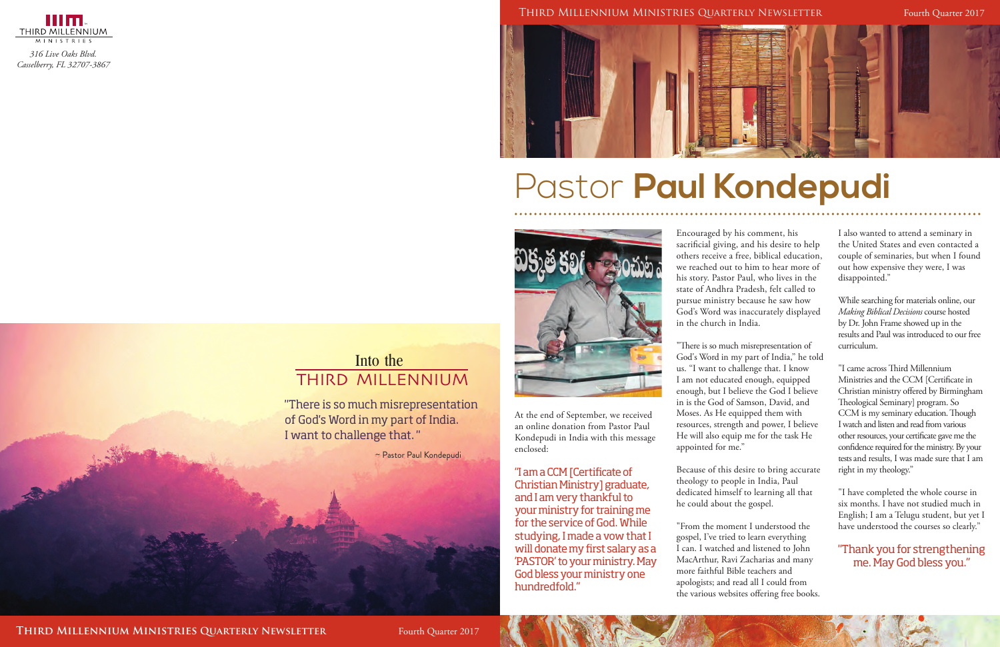

*316 Live Oaks Blvd. Casselberry, FL 32707-3867*

一

At the end of September, we received an online donation from Pastor Paul Kondepudi in India with this message enclosed:

"I am a CCM [Certificate of Christian Ministry] graduate, and I am very thankful to your ministry for training me for the service of God. While studying, I made a vow that I will donate my first salary as a 'PASTOR' to your ministry. May God bless your ministry one hundredfold."

## Pastor **Paul Kondepudi**



#### THIRD MILLENNIUM Into the

#### Third Millennium Ministries Quarterly Newsletter Fourth Quarter 2017



Encouraged by his comment, his sacrificial giving, and his desire to help others receive a free, biblical education, we reached out to him to hear more of his story. Pastor Paul, who lives in the state of Andhra Pradesh, felt called to pursue ministry because he saw how God's Word was inaccurately displayed in the church in India.

"There is so much misrepresentation of God's Word in my part of India," he told us. "I want to challenge that. I know I am not educated enough, equipped enough, but I believe the God I believe in is the God of Samson, David, and Moses. As He equipped them with resources, strength and power, I believe He will also equip me for the task He appointed for me."

Because of this desire to bring accurate theology to people in India, Paul dedicated himself to learning all that he could about the gospel.

"From the moment I understood the gospel, I've tried to learn everything I can. I watched and listened to John MacArthur, Ravi Zacharias and many more faithful Bible teachers and apologists; and read all I could from the various websites offering free books.

"There is so much misrepresentation of God's Word in my part of India. I want to challenge that. "

I also wanted to attend a seminary in the United States and even contacted a couple of seminaries, but when I found out how expensive they were, I was disappointed."

While searching for materials online, our *Making Biblical Decisions* course hosted by Dr. John Frame showed up in the results and Paul was introduced to our free curriculum.

"I came across Third Millennium Ministries and the CCM [Certificate in Christian ministry offered by Birmingham Theological Seminary] program. So CCM is my seminary education. Though I watch and listen and read from various other resources, your certificate gave me the confidence required for the ministry. By your tests and results, I was made sure that I am right in my theology."

"I have completed the whole course in six months. I have not studied much in English; I am a Telugu student, but yet I have understood the courses so clearly."

#### "Thank you for strengthening me. May God bless you."

~ Pastor Paul Kondepudi

**THIRD MILLENNIUM MINISTRIES QUARTERLY NEWSLETTER** Fourth Quarter 2017